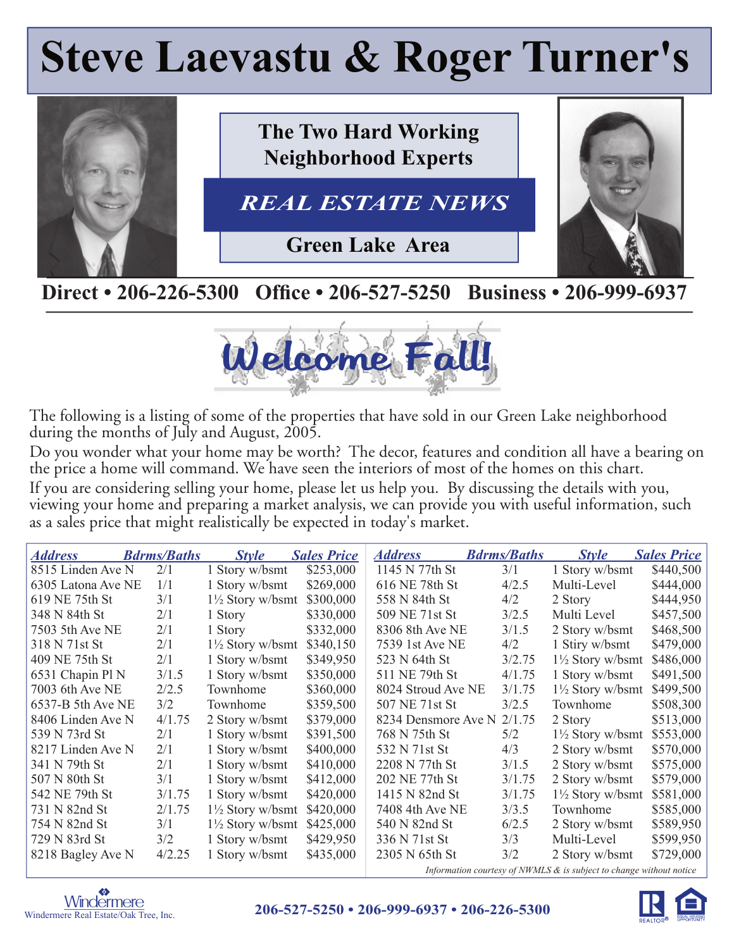# **Steve Laevastu & Roger Turner's**



### Direct • 206-226-5300 Office • 206-527-5250 Business • 206-999-6937



The following is a listing of some of the properties that have sold in our Green Lake neighborhood during the months of July and August, 2005.

Do you wonder what your home may be worth? The decor, features and condition all have a bearing on the price a home will command. We have seen the interiors of most of the homes on this chart.

If you are considering selling your home, please let us help you. By discussing the details with you, viewing your home and preparing a market analysis, we can provide you with useful information, such as a sales price that might realistically be expected in today's market.

| <b>Address</b>     | <b>Bdrms/Baths</b> | <b>Style</b>                | <b>Sales Price</b> | <b>Address</b>                                                         | <b>Bdrms/Baths</b> | <b>Style</b>                | <b>Sales Price</b> |
|--------------------|--------------------|-----------------------------|--------------------|------------------------------------------------------------------------|--------------------|-----------------------------|--------------------|
| 8515 Linden Ave N  | 2/1                | 1 Story w/bsmt              | \$253,000          | 1145 N 77th St                                                         | 3/1                | 1 Story w/bsmt              | \$440,500          |
| 6305 Latona Ave NE | 1/1                | 1 Story w/bsmt              | \$269,000          | 616 NE 78th St                                                         | 4/2.5              | Multi-Level                 | \$444,000          |
| 619 NE 75th St     | 3/1                | $1\frac{1}{2}$ Story w/bsmt | \$300,000          | 558 N 84th St                                                          | 4/2                | 2 Story                     | \$444,950          |
| 348 N 84th St      | 2/1                | 1 Story                     | \$330,000          | 509 NE 71st St                                                         | 3/2.5              | Multi Level                 | \$457,500          |
| 7503 5th Ave NE    | 2/1                | 1 Story                     | \$332,000          | 8306 8th Ave NE                                                        | 3/1.5              | 2 Story w/bsmt              | \$468,500          |
| 318 N 71st St      | 2/1                | $1\frac{1}{2}$ Story w/bsmt | \$340,150          | 7539 1st Ave NE                                                        | 4/2                | 1 Stiry w/bsmt              | \$479,000          |
| 409 NE 75th St     | 2/1                | 1 Story w/bsmt              | \$349,950          | 523 N 64th St                                                          | 3/2.75             | $1\frac{1}{2}$ Story w/bsmt | \$486,000          |
| 6531 Chapin Pl N   | 3/1.5              | 1 Story w/bsmt              | \$350,000          | 511 NE 79th St                                                         | 4/1.75             | 1 Story w/bsmt              | \$491,500          |
| 7003 6th Ave NE    | 2/2.5              | Townhome                    | \$360,000          | 8024 Stroud Ave NE                                                     | 3/1.75             | $1\frac{1}{2}$ Story w/bsmt | \$499,500          |
| 6537-B 5th Ave NE  | 3/2                | Townhome                    | \$359,500          | 507 NE 71st St                                                         | 3/2.5              | Townhome                    | \$508,300          |
| 8406 Linden Ave N  | 4/1.75             | 2 Story w/bsmt              | \$379,000          | 8234 Densmore Ave N 2/1.75                                             |                    | 2 Story                     | \$513,000          |
| 539 N 73rd St      | 2/1                | 1 Story w/bsmt              | \$391,500          | 768 N 75th St                                                          | 5/2                | $1\frac{1}{2}$ Story w/bsmt | \$553,000          |
| 8217 Linden Ave N  | 2/1                | 1 Story w/bsmt              | \$400,000          | 532 N 71st St                                                          | 4/3                | 2 Story w/bsmt              | \$570,000          |
| 341 N 79th St      | 2/1                | 1 Story w/bsmt              | \$410,000          | 2208 N 77th St                                                         | 3/1.5              | 2 Story w/bsmt              | \$575,000          |
| 507 N 80th St      | 3/1                | 1 Story w/bsmt              | \$412,000          | 202 NE 77th St                                                         | 3/1.75             | 2 Story w/bsmt              | \$579,000          |
| 542 NE 79th St     | 3/1.75             | 1 Story w/bsmt              | \$420,000          | 1415 N 82nd St                                                         | 3/1.75             | $1\frac{1}{2}$ Story w/bsmt | \$581,000          |
| 731 N 82nd St      | 2/1.75             | $1\frac{1}{2}$ Story w/bsmt | \$420,000          | 7408 4th Ave NE                                                        | 3/3.5              | Townhome                    | \$585,000          |
| 754 N 82nd St      | 3/1                | $1\frac{1}{2}$ Story w/bsmt | \$425,000          | 540 N 82nd St                                                          | 6/2.5              | 2 Story w/bsmt              | \$589,950          |
| 729 N 83rd St      | 3/2                | 1 Story w/bsmt              | \$429,950          | 336 N 71st St                                                          | 3/3                | Multi-Level                 | \$599,950          |
| 8218 Bagley Ave N  | 4/2.25             | 1 Story w/bsmt              | \$435,000          | 2305 N 65th St                                                         | 3/2                | 2 Story w/bsmt              | \$729,000          |
|                    |                    |                             |                    | Information courtesy of NWMLS $\&$ is subject to change without notice |                    |                             |                    |